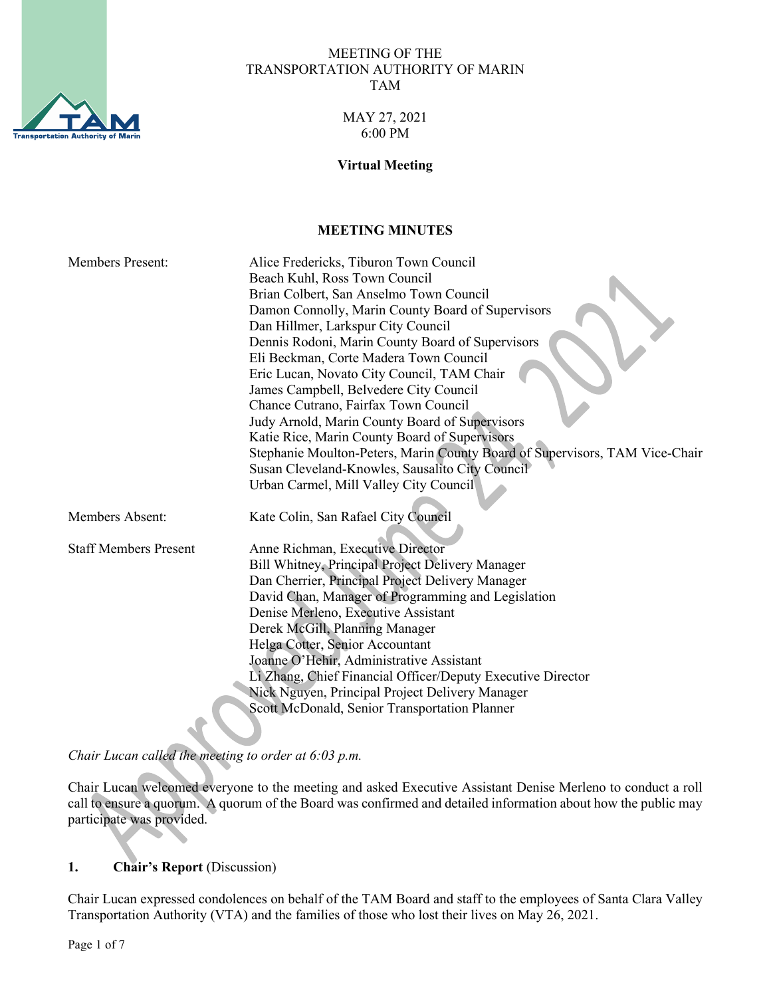

#### MEETING OF THE TRANSPORTATION AUTHORITY OF MARIN TAM

### MAY 27, 2021 6:00 PM

#### **Virtual Meeting**

### **MEETING MINUTES**

| <b>Members Present:</b>      | Alice Fredericks, Tiburon Town Council                                      |
|------------------------------|-----------------------------------------------------------------------------|
|                              | Beach Kuhl, Ross Town Council                                               |
|                              | Brian Colbert, San Anselmo Town Council                                     |
|                              | Damon Connolly, Marin County Board of Supervisors                           |
|                              | Dan Hillmer, Larkspur City Council                                          |
|                              | Dennis Rodoni, Marin County Board of Supervisors                            |
|                              | Eli Beckman, Corte Madera Town Council                                      |
|                              | Eric Lucan, Novato City Council, TAM Chair                                  |
|                              | James Campbell, Belvedere City Council                                      |
|                              | Chance Cutrano, Fairfax Town Council                                        |
|                              | Judy Arnold, Marin County Board of Supervisors                              |
|                              | Katie Rice, Marin County Board of Supervisors                               |
|                              | Stephanie Moulton-Peters, Marin County Board of Supervisors, TAM Vice-Chair |
|                              | Susan Cleveland-Knowles, Sausalito City Council                             |
|                              | Urban Carmel, Mill Valley City Council                                      |
|                              |                                                                             |
| Members Absent:              | Kate Colin, San Rafael City Council                                         |
|                              |                                                                             |
| <b>Staff Members Present</b> | Anne Richman, Executive Director                                            |
|                              | Bill Whitney, Principal Project Delivery Manager                            |
|                              | Dan Cherrier, Principal Project Delivery Manager                            |
|                              | David Chan, Manager of Programming and Legislation                          |
|                              | Denise Merleno, Executive Assistant                                         |
|                              | Derek McGill, Planning Manager                                              |
|                              | Helga Cotter, Senior Accountant                                             |
|                              | Joanne O'Hehir, Administrative Assistant                                    |
|                              | Li Zhang, Chief Financial Officer/Deputy Executive Director                 |
|                              | Nick Nguyen, Principal Project Delivery Manager                             |
|                              | Scott McDonald, Senior Transportation Planner                               |
|                              |                                                                             |

*Chair Lucan called the meeting to order at 6:03 p.m.* 

Chair Lucan welcomed everyone to the meeting and asked Executive Assistant Denise Merleno to conduct a roll call to ensure a quorum. A quorum of the Board was confirmed and detailed information about how the public may participate was provided.

# **1. Chair's Report** (Discussion)

Chair Lucan expressed condolences on behalf of the TAM Board and staff to the employees of Santa Clara Valley Transportation Authority (VTA) and the families of those who lost their lives on May 26, 2021.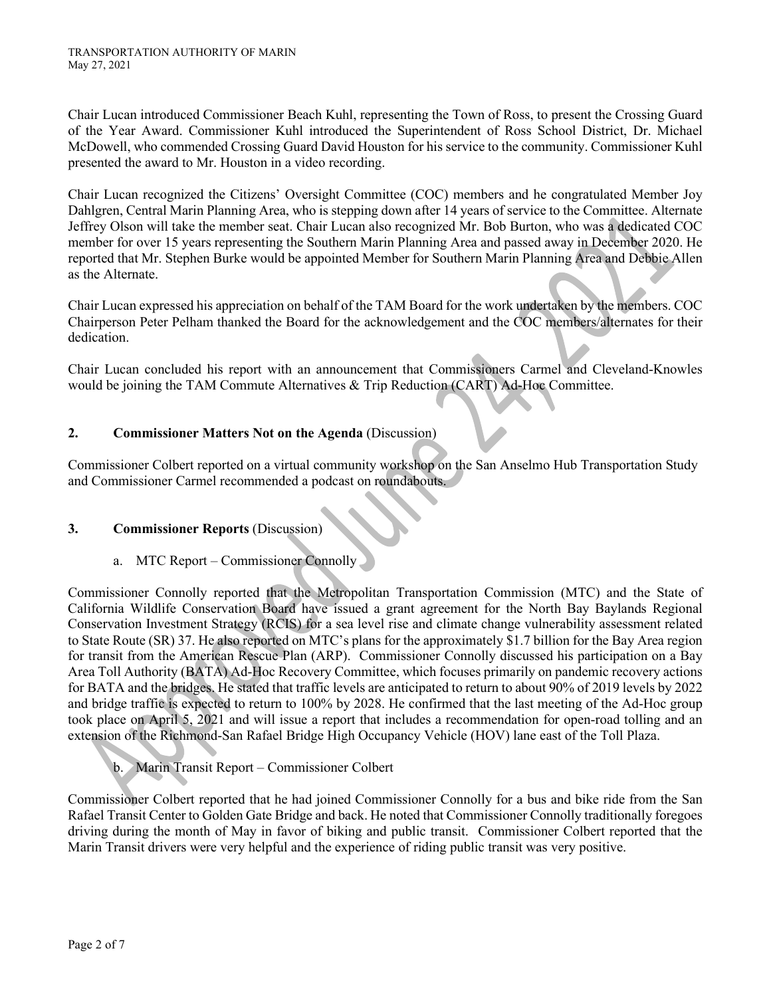Chair Lucan introduced Commissioner Beach Kuhl, representing the Town of Ross, to present the Crossing Guard of the Year Award. Commissioner Kuhl introduced the Superintendent of Ross School District, Dr. Michael McDowell, who commended Crossing Guard David Houston for his service to the community. Commissioner Kuhl presented the award to Mr. Houston in a video recording.

Chair Lucan recognized the Citizens' Oversight Committee (COC) members and he congratulated Member Joy Dahlgren, Central Marin Planning Area, who is stepping down after 14 years of service to the Committee. Alternate Jeffrey Olson will take the member seat. Chair Lucan also recognized Mr. Bob Burton, who was a dedicated COC member for over 15 years representing the Southern Marin Planning Area and passed away in December 2020. He reported that Mr. Stephen Burke would be appointed Member for Southern Marin Planning Area and Debbie Allen as the Alternate.

Chair Lucan expressed his appreciation on behalf of the TAM Board for the work undertaken by the members. COC Chairperson Peter Pelham thanked the Board for the acknowledgement and the COC members/alternates for their dedication.

Chair Lucan concluded his report with an announcement that Commissioners Carmel and Cleveland-Knowles would be joining the TAM Commute Alternatives & Trip Reduction (CART) Ad-Hoc Committee.

# **2. Commissioner Matters Not on the Agenda** (Discussion)

Commissioner Colbert reported on a virtual community workshop on the San Anselmo Hub Transportation Study and Commissioner Carmel recommended a podcast on roundabouts.

# **3. Commissioner Reports** (Discussion)

a. MTC Report – Commissioner Connolly

Commissioner Connolly reported that the Metropolitan Transportation Commission (MTC) and the State of California Wildlife Conservation Board have issued a grant agreement for the North Bay Baylands Regional Conservation Investment Strategy (RCIS) for a sea level rise and climate change vulnerability assessment related to State Route (SR) 37. He also reported on MTC's plans for the approximately \$1.7 billion for the Bay Area region for transit from the American Rescue Plan (ARP). Commissioner Connolly discussed his participation on a Bay Area Toll Authority (BATA) Ad-Hoc Recovery Committee, which focuses primarily on pandemic recovery actions for BATA and the bridges. He stated that traffic levels are anticipated to return to about 90% of 2019 levels by 2022 and bridge traffic is expected to return to 100% by 2028. He confirmed that the last meeting of the Ad-Hoc group took place on April 5, 2021 and will issue a report that includes a recommendation for open-road tolling and an extension of the Richmond-San Rafael Bridge High Occupancy Vehicle (HOV) lane east of the Toll Plaza.

b. Marin Transit Report – Commissioner Colbert

Commissioner Colbert reported that he had joined Commissioner Connolly for a bus and bike ride from the San Rafael Transit Center to Golden Gate Bridge and back. He noted that Commissioner Connolly traditionally foregoes driving during the month of May in favor of biking and public transit. Commissioner Colbert reported that the Marin Transit drivers were very helpful and the experience of riding public transit was very positive.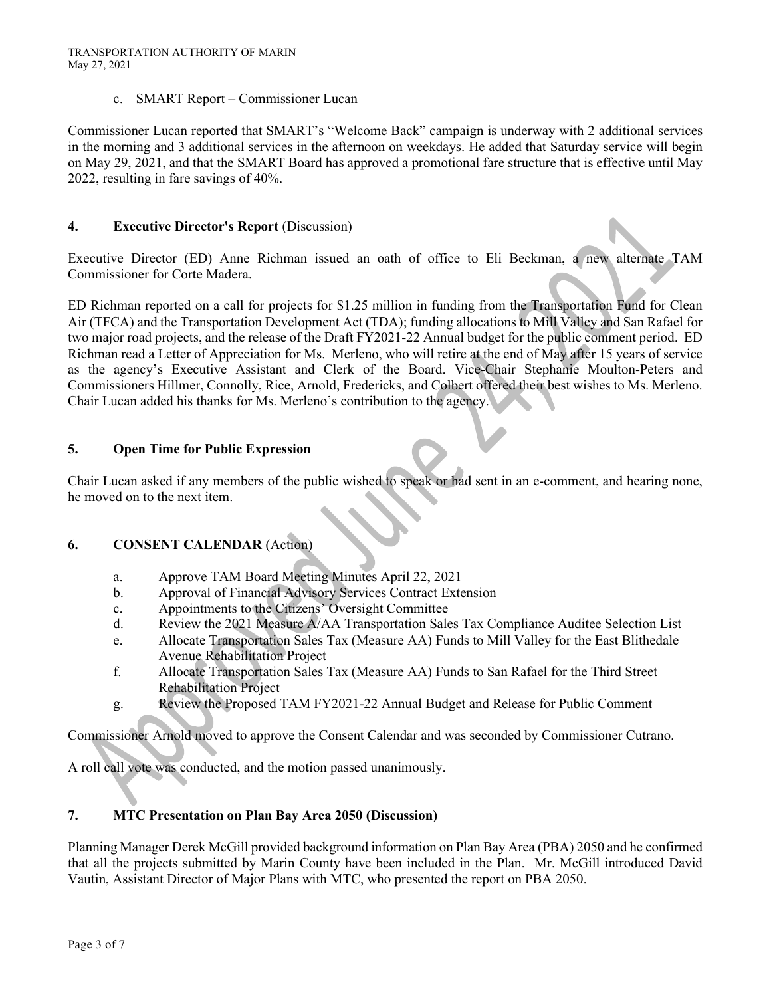#### c. SMART Report – Commissioner Lucan

Commissioner Lucan reported that SMART's "Welcome Back" campaign is underway with 2 additional services in the morning and 3 additional services in the afternoon on weekdays. He added that Saturday service will begin on May 29, 2021, and that the SMART Board has approved a promotional fare structure that is effective until May 2022, resulting in fare savings of 40%.

### **4. Executive Director's Report** (Discussion)

Executive Director (ED) Anne Richman issued an oath of office to Eli Beckman, a new alternate TAM Commissioner for Corte Madera.

ED Richman reported on a call for projects for \$1.25 million in funding from the Transportation Fund for Clean Air (TFCA) and the Transportation Development Act (TDA); funding allocations to Mill Valley and San Rafael for two major road projects, and the release of the Draft FY2021-22 Annual budget for the public comment period. ED Richman read a Letter of Appreciation for Ms. Merleno, who will retire at the end of May after 15 years of service as the agency's Executive Assistant and Clerk of the Board. Vice-Chair Stephanie Moulton-Peters and Commissioners Hillmer, Connolly, Rice, Arnold, Fredericks, and Colbert offered their best wishes to Ms. Merleno. Chair Lucan added his thanks for Ms. Merleno's contribution to the agency.

### **5. Open Time for Public Expression**

Chair Lucan asked if any members of the public wished to speak or had sent in an e-comment, and hearing none, he moved on to the next item.

# **6. CONSENT CALENDAR** (Action)

- a. Approve TAM Board Meeting Minutes April 22, 2021
- b. Approval of Financial Advisory Services Contract Extension
- c. Appointments to the Citizens' Oversight Committee
- d. Review the 2021 Measure A/AA Transportation Sales Tax Compliance Auditee Selection List
- e. Allocate Transportation Sales Tax (Measure AA) Funds to Mill Valley for the East Blithedale Avenue Rehabilitation Project
- f. Allocate Transportation Sales Tax (Measure AA) Funds to San Rafael for the Third Street Rehabilitation Project
- g. Review the Proposed TAM FY2021-22 Annual Budget and Release for Public Comment

Commissioner Arnold moved to approve the Consent Calendar and was seconded by Commissioner Cutrano.

A roll call vote was conducted, and the motion passed unanimously.

#### **7. MTC Presentation on Plan Bay Area 2050 (Discussion)**

Planning Manager Derek McGill provided background information on Plan Bay Area (PBA) 2050 and he confirmed that all the projects submitted by Marin County have been included in the Plan. Mr. McGill introduced David Vautin, Assistant Director of Major Plans with MTC, who presented the report on PBA 2050.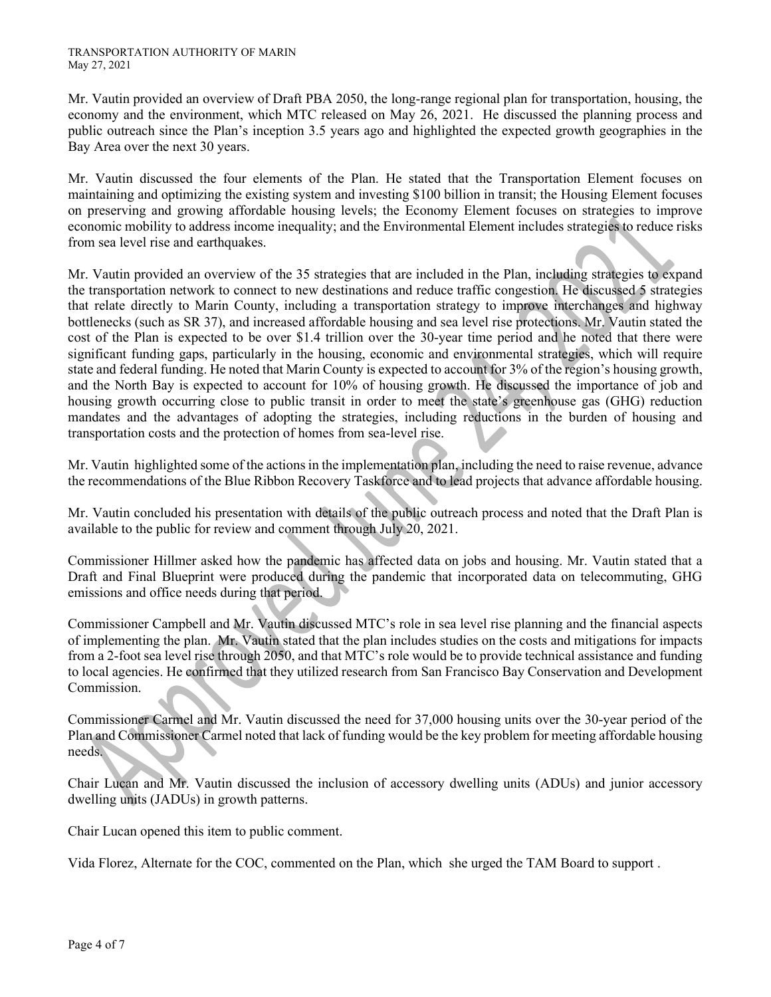Mr. Vautin provided an overview of Draft PBA 2050, the long-range regional plan for transportation, housing, the economy and the environment, which MTC released on May 26, 2021. He discussed the planning process and public outreach since the Plan's inception 3.5 years ago and highlighted the expected growth geographies in the Bay Area over the next 30 years.

Mr. Vautin discussed the four elements of the Plan. He stated that the Transportation Element focuses on maintaining and optimizing the existing system and investing \$100 billion in transit; the Housing Element focuses on preserving and growing affordable housing levels; the Economy Element focuses on strategies to improve economic mobility to address income inequality; and the Environmental Element includes strategies to reduce risks from sea level rise and earthquakes.

Mr. Vautin provided an overview of the 35 strategies that are included in the Plan, including strategies to expand the transportation network to connect to new destinations and reduce traffic congestion. He discussed 5 strategies that relate directly to Marin County, including a transportation strategy to improve interchanges and highway bottlenecks (such as SR 37), and increased affordable housing and sea level rise protections. Mr. Vautin stated the cost of the Plan is expected to be over \$1.4 trillion over the 30-year time period and he noted that there were significant funding gaps, particularly in the housing, economic and environmental strategies, which will require state and federal funding. He noted that Marin County is expected to account for 3% of the region's housing growth, and the North Bay is expected to account for 10% of housing growth. He discussed the importance of job and housing growth occurring close to public transit in order to meet the state's greenhouse gas (GHG) reduction mandates and the advantages of adopting the strategies, including reductions in the burden of housing and transportation costs and the protection of homes from sea-level rise.

Mr. Vautin highlighted some of the actions in the implementation plan, including the need to raise revenue, advance the recommendations of the Blue Ribbon Recovery Taskforce and to lead projects that advance affordable housing.

Mr. Vautin concluded his presentation with details of the public outreach process and noted that the Draft Plan is available to the public for review and comment through July 20, 2021.

Commissioner Hillmer asked how the pandemic has affected data on jobs and housing. Mr. Vautin stated that a Draft and Final Blueprint were produced during the pandemic that incorporated data on telecommuting, GHG emissions and office needs during that period.

Commissioner Campbell and Mr. Vautin discussed MTC's role in sea level rise planning and the financial aspects of implementing the plan. Mr. Vautin stated that the plan includes studies on the costs and mitigations for impacts from a 2-foot sea level rise through 2050, and that MTC's role would be to provide technical assistance and funding to local agencies. He confirmed that they utilized research from San Francisco Bay Conservation and Development Commission.

Commissioner Carmel and Mr. Vautin discussed the need for 37,000 housing units over the 30-year period of the Plan and Commissioner Carmel noted that lack of funding would be the key problem for meeting affordable housing needs.

Chair Lucan and Mr. Vautin discussed the inclusion of accessory dwelling units (ADUs) and junior accessory dwelling units (JADUs) in growth patterns.

Chair Lucan opened this item to public comment.

Vida Florez, Alternate for the COC, commented on the Plan, which she urged the TAM Board to support .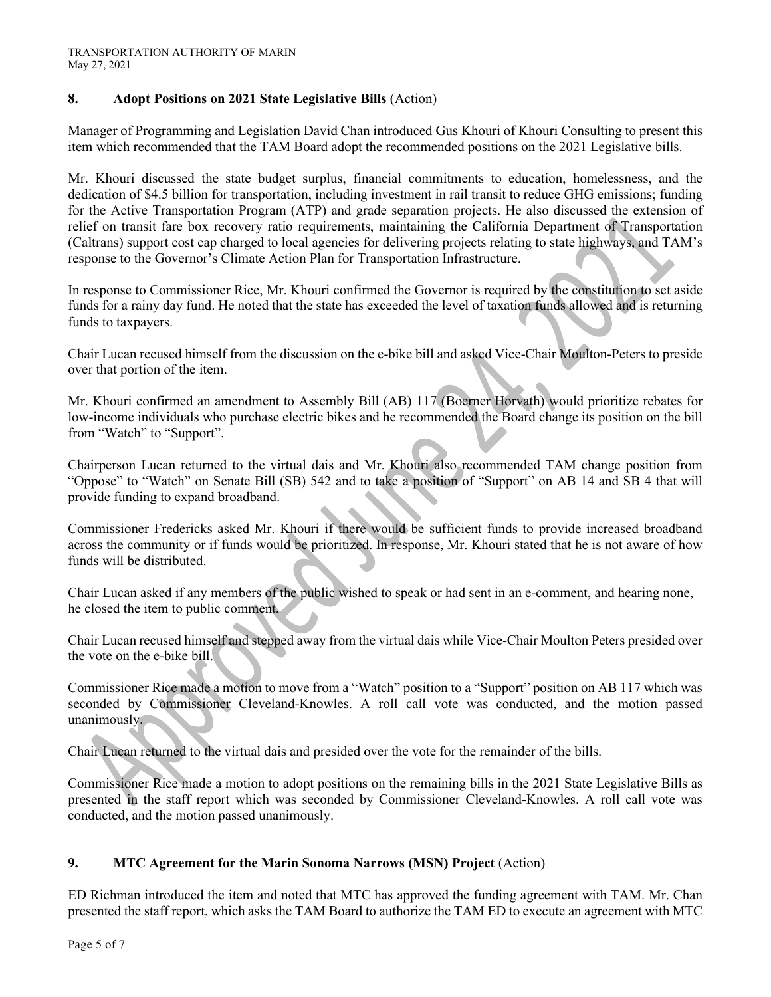## **8. Adopt Positions on 2021 State Legislative Bills** (Action)

Manager of Programming and Legislation David Chan introduced Gus Khouri of Khouri Consulting to present this item which recommended that the TAM Board adopt the recommended positions on the 2021 Legislative bills.

Mr. Khouri discussed the state budget surplus, financial commitments to education, homelessness, and the dedication of \$4.5 billion for transportation, including investment in rail transit to reduce GHG emissions; funding for the Active Transportation Program (ATP) and grade separation projects. He also discussed the extension of relief on transit fare box recovery ratio requirements, maintaining the California Department of Transportation (Caltrans) support cost cap charged to local agencies for delivering projects relating to state highways, and TAM's response to the Governor's Climate Action Plan for Transportation Infrastructure.

In response to Commissioner Rice, Mr. Khouri confirmed the Governor is required by the constitution to set aside funds for a rainy day fund. He noted that the state has exceeded the level of taxation funds allowed and is returning funds to taxpayers.

Chair Lucan recused himself from the discussion on the e-bike bill and asked Vice-Chair Moulton-Peters to preside over that portion of the item.

Mr. Khouri confirmed an amendment to Assembly Bill (AB) 117 (Boerner Horvath) would prioritize rebates for low-income individuals who purchase electric bikes and he recommended the Board change its position on the bill from "Watch" to "Support".

Chairperson Lucan returned to the virtual dais and Mr. Khouri also recommended TAM change position from "Oppose" to "Watch" on Senate Bill (SB) 542 and to take a position of "Support" on AB 14 and SB 4 that will provide funding to expand broadband.

Commissioner Fredericks asked Mr. Khouri if there would be sufficient funds to provide increased broadband across the community or if funds would be prioritized. In response, Mr. Khouri stated that he is not aware of how funds will be distributed.

Chair Lucan asked if any members of the public wished to speak or had sent in an e-comment, and hearing none, he closed the item to public comment.

Chair Lucan recused himself and stepped away from the virtual dais while Vice-Chair Moulton Peters presided over the vote on the e-bike bill.

Commissioner Rice made a motion to move from a "Watch" position to a "Support" position on AB 117 which was seconded by Commissioner Cleveland-Knowles. A roll call vote was conducted, and the motion passed unanimously.

Chair Lucan returned to the virtual dais and presided over the vote for the remainder of the bills.

Commissioner Rice made a motion to adopt positions on the remaining bills in the 2021 State Legislative Bills as presented in the staff report which was seconded by Commissioner Cleveland-Knowles. A roll call vote was conducted, and the motion passed unanimously.

# **9. MTC Agreement for the Marin Sonoma Narrows (MSN) Project** (Action)

ED Richman introduced the item and noted that MTC has approved the funding agreement with TAM. Mr. Chan presented the staff report, which asks the TAM Board to authorize the TAM ED to execute an agreement with MTC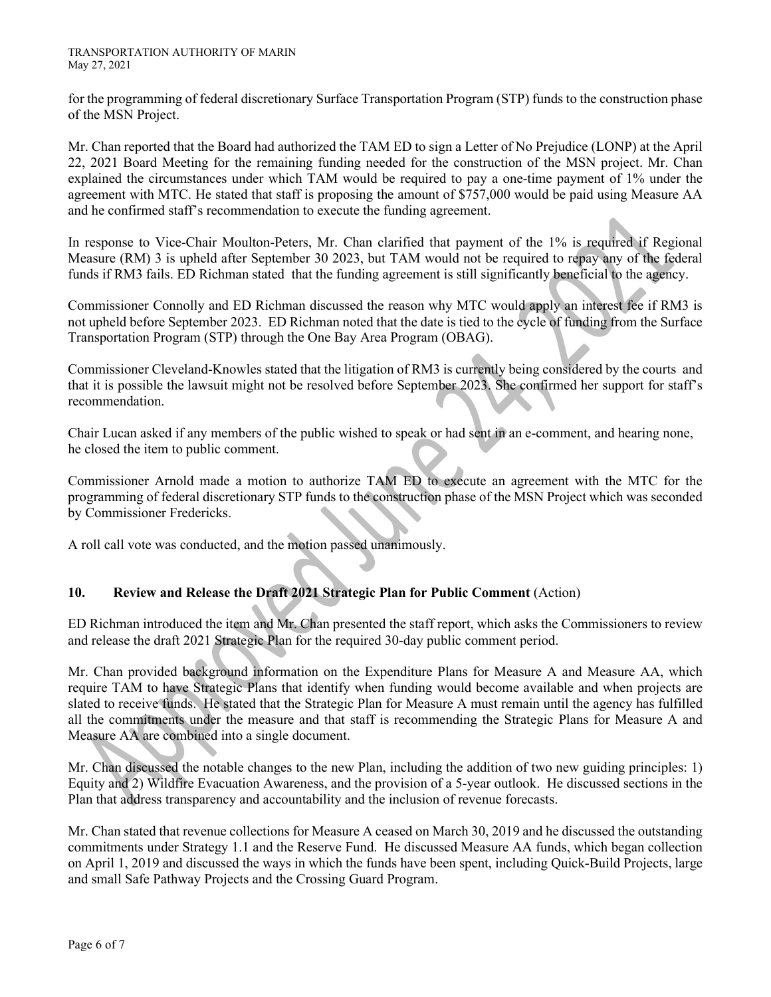TRANSPORTATION AUTHORITY OF MARIN May 27, 2021

for the programming of federal discretionary Surface Transportation Program (STP) funds to the construction phase of the MSN Project.

Mr. Chan reported that the Board had authorized the TAM ED to sign a Letter of No Prejudice (LONP) at the April 22, 2021 Board Meeting for the remaining funding needed for the construction of the MSN project. Mr. Chan explained the circumstances under which TAM would be required to pay a one-time payment of 1% under the agreement with MTC. He stated that staff is proposing the amount of \$757,000 would be paid using Measure AA and he confirmed staff's recommendation to execute the funding agreement.

In response to Vice-Chair Moulton-Peters, Mr. Chan clarified that payment of the 1% is required if Regional Measure (RM) 3 is upheld after September 30 2023, but TAM would not be required to repay any of the federal funds if RM3 fails. ED Richman stated that the funding agreement is still significantly beneficial to the agency.

Commissioner Connolly and ED Richman discussed the reason why MTC would apply an interest fee if RM3 is not upheld before September 2023. ED Richman noted that the date is tied to the cycle of funding from the Surface Transportation Program (STP) through the One Bay Area Program (OBAG).

Commissioner Cleveland-Knowles stated that the litigation of RM3 is currently being considered by the courts and that it is possible the lawsuit might not be resolved before September 2023. She confirmed her support for staff's recommendation.

Chair Lucan asked if any members of the public wished to speak or had sent in an e-comment, and hearing none, he closed the item to public comment.

Commissioner Arnold made a motion to authorize TAM ED to execute an agreement with the MTC for the programming of federal discretionary STP funds to the construction phase of the MSN Project which was seconded by Commissioner Fredericks.

A roll call vote was conducted, and the motion passed unanimously.

# **10. Review and Release the Draft 2021 Strategic Plan for Public Comment** (Action)

ED Richman introduced the item and Mr. Chan presented the staff report, which asks the Commissioners to review and release the draft 2021 Strategic Plan for the required 30-day public comment period.

Mr. Chan provided background information on the Expenditure Plans for Measure A and Measure AA, which require TAM to have Strategic Plans that identify when funding would become available and when projects are slated to receive funds. He stated that the Strategic Plan for Measure A must remain until the agency has fulfilled all the commitments under the measure and that staff is recommending the Strategic Plans for Measure A and Measure AA are combined into a single document.

Mr. Chan discussed the notable changes to the new Plan, including the addition of two new guiding principles: 1) Equity and 2) Wildfire Evacuation Awareness, and the provision of a 5-year outlook. He discussed sections in the Plan that address transparency and accountability and the inclusion of revenue forecasts.

Mr. Chan stated that revenue collections for Measure A ceased on March 30, 2019 and he discussed the outstanding commitments under Strategy 1.1 and the Reserve Fund. He discussed Measure AA funds, which began collection on April 1, 2019 and discussed the ways in which the funds have been spent, including Quick-Build Projects, large and small Safe Pathway Projects and the Crossing Guard Program.